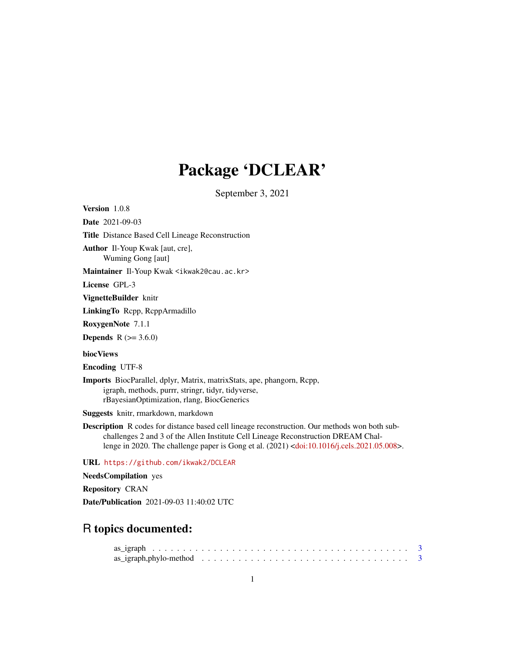# Package 'DCLEAR'

September 3, 2021

Version 1.0.8 Date 2021-09-03 Title Distance Based Cell Lineage Reconstruction Author Il-Youp Kwak [aut, cre], Wuming Gong [aut] Maintainer Il-Youp Kwak <ikwak2@cau.ac.kr> License GPL-3 VignetteBuilder knitr LinkingTo Rcpp, RcppArmadillo RoxygenNote 7.1.1 **Depends**  $R (= 3.6.0)$ biocViews Encoding UTF-8 Imports BiocParallel, dplyr, Matrix, matrixStats, ape, phangorn, Rcpp, igraph, methods, purrr, stringr, tidyr, tidyverse, rBayesianOptimization, rlang, BiocGenerics

Suggests knitr, rmarkdown, markdown

Description R codes for distance based cell lineage reconstruction. Our methods won both subchallenges 2 and 3 of the Allen Institute Cell Lineage Reconstruction DREAM Challenge in 2020. The challenge paper is Gong et al. (2021) [<doi:10.1016/j.cels.2021.05.008>](https://doi.org/10.1016/j.cels.2021.05.008).

URL <https://github.com/ikwak2/DCLEAR>

NeedsCompilation yes

Repository CRAN

Date/Publication 2021-09-03 11:40:02 UTC

# R topics documented: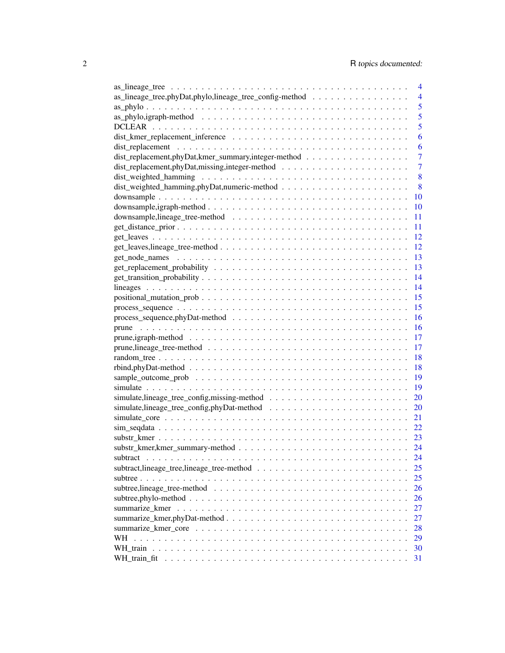|                                                                                                                     | 4              |
|---------------------------------------------------------------------------------------------------------------------|----------------|
| as_lineage_tree,phyDat,phylo,lineage_tree_config-method                                                             | $\overline{4}$ |
|                                                                                                                     | 5              |
|                                                                                                                     | 5              |
|                                                                                                                     | 5              |
|                                                                                                                     | 6              |
|                                                                                                                     | 6              |
| dist_replacement,phyDat,kmer_summary,integer-method                                                                 | 7              |
|                                                                                                                     | $\overline{7}$ |
|                                                                                                                     | 8              |
|                                                                                                                     | 8              |
|                                                                                                                     | 10             |
|                                                                                                                     |                |
|                                                                                                                     | 10             |
|                                                                                                                     | 11             |
|                                                                                                                     | 11             |
|                                                                                                                     | 12             |
|                                                                                                                     | 12             |
|                                                                                                                     | 13             |
|                                                                                                                     | 13             |
|                                                                                                                     | 14             |
|                                                                                                                     | 14             |
|                                                                                                                     | 15             |
|                                                                                                                     | 15             |
| $process\_sequence, phyData-method \dots \dots \dots \dots \dots \dots \dots \dots \dots \dots \dots \dots$         | 16             |
|                                                                                                                     | 16             |
| $prune, jgraph-method \ldots \ldots \ldots \ldots \ldots \ldots \ldots \ldots \ldots \ldots \ldots \ldots$          | 17             |
|                                                                                                                     | 17             |
|                                                                                                                     | 18             |
|                                                                                                                     | 18             |
| $rbind, phyData - method \dots \dots \dots \dots \dots \dots \dots \dots \dots \dots \dots \dots \dots \dots \dots$ |                |
|                                                                                                                     | 19             |
|                                                                                                                     | 19             |
|                                                                                                                     | 20             |
|                                                                                                                     | 20             |
|                                                                                                                     | 21             |
|                                                                                                                     | 22             |
|                                                                                                                     | 23             |
|                                                                                                                     | 24             |
| subtract                                                                                                            | 24             |
|                                                                                                                     | 25             |
|                                                                                                                     | 25             |
|                                                                                                                     | 26             |
|                                                                                                                     | 26             |
|                                                                                                                     | 27             |
|                                                                                                                     | 27             |
|                                                                                                                     | 28             |
| WН                                                                                                                  | 29             |
|                                                                                                                     |                |
|                                                                                                                     | 30             |
|                                                                                                                     | 31             |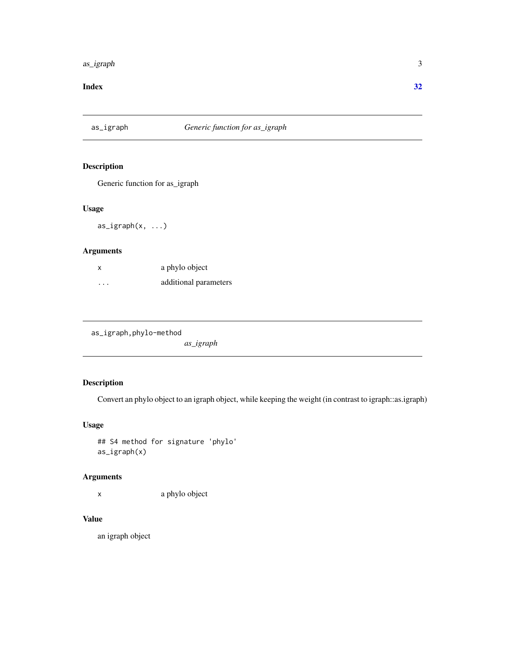#### <span id="page-2-0"></span>as\_igraph 3

#### **Index** [32](#page-31-0)

as\_igraph *Generic function for as\_igraph*

# Description

Generic function for as\_igraph

#### Usage

as\_igraph(x, ...)

# Arguments

| X       | a phylo object        |
|---------|-----------------------|
| $\cdot$ | additional parameters |

| as_igraph,phylo-method |  |
|------------------------|--|
|------------------------|--|

*as\_igraph*

# Description

Convert an phylo object to an igraph object, while keeping the weight (in contrast to igraph::as.igraph)

#### Usage

## S4 method for signature 'phylo' as\_igraph(x)

#### Arguments

x a phylo object

# Value

an igraph object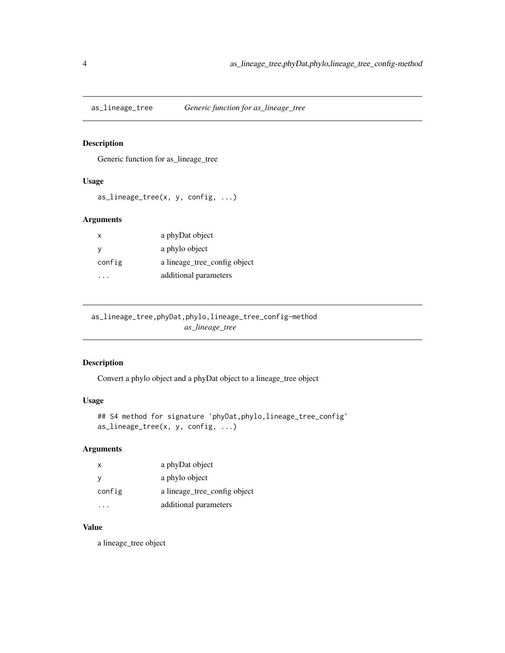<span id="page-3-0"></span>

#### Description

Generic function for as\_lineage\_tree

# Usage

as\_lineage\_tree(x, y, config, ...)

#### Arguments

| x      | a phyDat object              |
|--------|------------------------------|
| y      | a phylo object               |
| config | a lineage tree config object |
|        | additional parameters        |

as\_lineage\_tree,phyDat,phylo,lineage\_tree\_config-method *as\_lineage\_tree*

# Description

Convert a phylo object and a phyDat object to a lineage\_tree object

#### Usage

```
## S4 method for signature 'phyDat, phylo, lineage_tree_config'
as_lineage_tree(x, y, config, ...)
```
#### Arguments

| x      | a phyDat object              |
|--------|------------------------------|
| y      | a phylo object               |
| config | a lineage_tree_config object |
|        | additional parameters        |

#### Value

a lineage\_tree object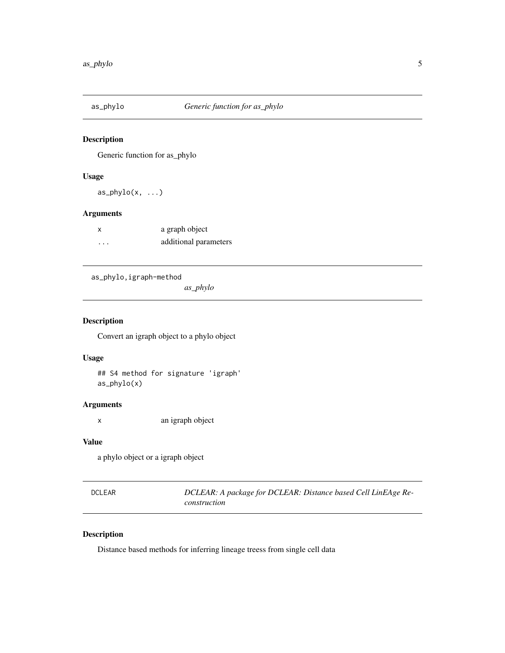<span id="page-4-0"></span>

#### Description

Generic function for as\_phylo

#### Usage

 $as\_phylo(x, \ldots)$ 

# Arguments

| x        | a graph object        |
|----------|-----------------------|
| $\cdots$ | additional parameters |

as\_phylo,igraph-method

*as\_phylo*

#### Description

Convert an igraph object to a phylo object

#### Usage

## S4 method for signature 'igraph' as\_phylo(x)

#### Arguments

x an igraph object

#### Value

a phylo object or a igraph object

| DCLEAR | DCLEAR: A package for DCLEAR: Distance based Cell LinEAge Re- |
|--------|---------------------------------------------------------------|
|        | construction                                                  |

#### Description

Distance based methods for inferring lineage treess from single cell data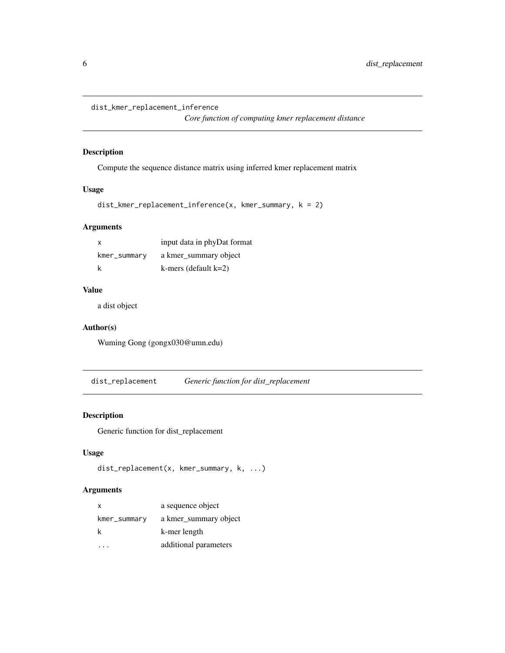<span id="page-5-0"></span>dist\_kmer\_replacement\_inference

*Core function of computing kmer replacement distance*

#### Description

Compute the sequence distance matrix using inferred kmer replacement matrix

#### Usage

```
dist_kmer_replacement_inference(x, kmer_summary, k = 2)
```
# Arguments

| x            | input data in phyDat format |
|--------------|-----------------------------|
| kmer_summary | a kmer summary object       |
| k            | $k$ -mers (default $k=2$ )  |

# Value

a dist object

#### Author(s)

Wuming Gong (gongx030@umn.edu)

dist\_replacement *Generic function for dist\_replacement*

#### Description

Generic function for dist\_replacement

# Usage

```
dist_replacement(x, kmer_summary, k, ...)
```

| X            | a sequence object     |
|--------------|-----------------------|
| kmer_summary | a kmer summary object |
| k            | k-mer length          |
|              | additional parameters |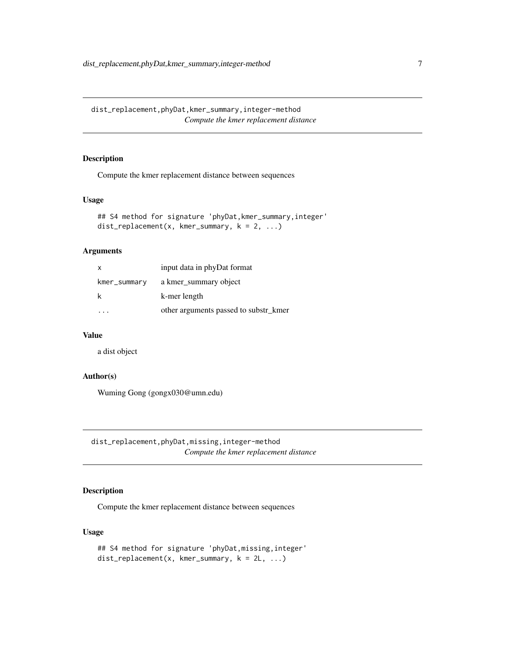<span id="page-6-0"></span>dist\_replacement,phyDat,kmer\_summary,integer-method *Compute the kmer replacement distance*

#### Description

Compute the kmer replacement distance between sequences

#### Usage

```
## S4 method for signature 'phyDat, kmer_summary, integer'
dist_replacement(x, kmer_summary, k = 2, ...)
```
#### Arguments

| $\mathsf{x}$ | input data in phyDat format           |
|--------------|---------------------------------------|
| kmer_summary | a kmer summary object                 |
|              | k-mer length                          |
|              | other arguments passed to substr kmer |

#### Value

a dist object

#### Author(s)

Wuming Gong (gongx030@umn.edu)

dist\_replacement,phyDat,missing,integer-method *Compute the kmer replacement distance*

#### Description

Compute the kmer replacement distance between sequences

#### Usage

```
## S4 method for signature 'phyDat, missing, integer'
dist_{replacent(x, kmer_{sumary, k = 2L, ...)}
```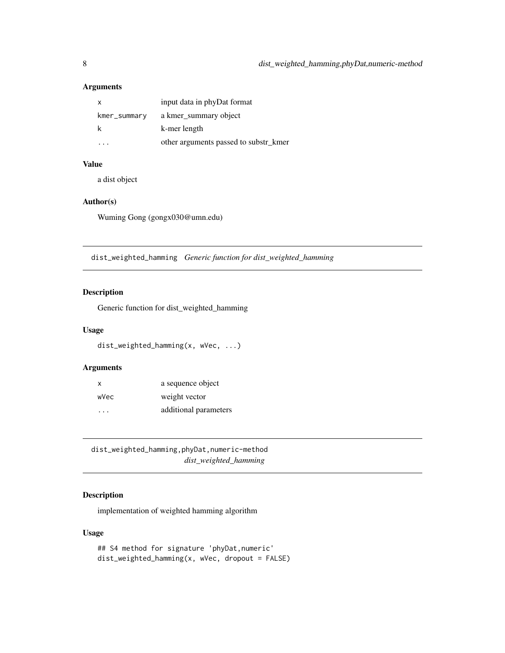# <span id="page-7-0"></span>Arguments

| x            | input data in phyDat format           |
|--------------|---------------------------------------|
| kmer_summary | a kmer summary object                 |
|              | k-mer length                          |
|              | other arguments passed to substr_kmer |

# Value

a dist object

#### Author(s)

Wuming Gong (gongx030@umn.edu)

dist\_weighted\_hamming *Generic function for dist\_weighted\_hamming*

#### Description

Generic function for dist\_weighted\_hamming

#### Usage

```
dist_weighted_hamming(x, wVec, ...)
```
# Arguments

| $\mathsf{x}$ | a sequence object     |
|--------------|-----------------------|
| wVec         | weight vector         |
| .            | additional parameters |

dist\_weighted\_hamming,phyDat,numeric-method *dist\_weighted\_hamming*

# Description

implementation of weighted hamming algorithm

#### Usage

```
## S4 method for signature 'phyDat,numeric'
dist_weighted_hamming(x, wVec, dropout = FALSE)
```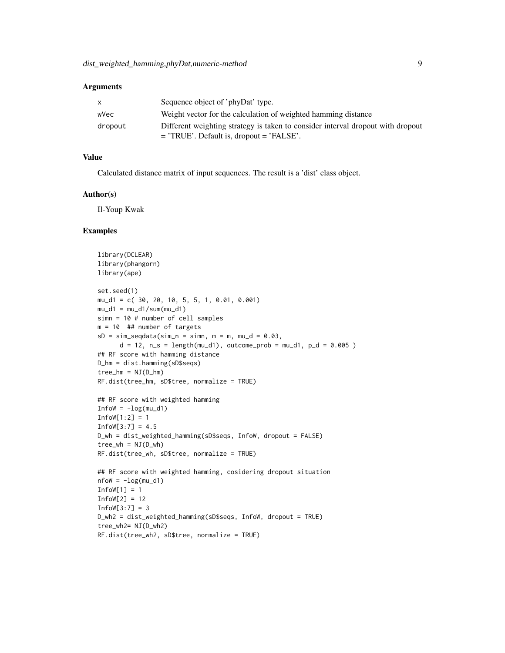#### **Arguments**

| $\mathsf{X}$ | Sequence object of 'phyDat' type.                                               |
|--------------|---------------------------------------------------------------------------------|
| wVec         | Weight vector for the calculation of weighted hamming distance                  |
| dropout      | Different weighting strategy is taken to consider interval dropout with dropout |
|              | $=$ 'TRUE'. Default is, dropout $=$ 'FALSE'.                                    |

#### Value

Calculated distance matrix of input sequences. The result is a 'dist' class object.

#### Author(s)

Il-Youp Kwak

#### Examples

```
library(DCLEAR)
library(phangorn)
library(ape)
set.seed(1)
mu_d1 = c( 30, 20, 10, 5, 5, 1, 0.01, 0.001)
mu_d1 = mu_d1/sum(mu_d1)simn = 10 # number of cell samples
m = 10 ## number of targets
sD = sim\_seqdata(sim_n = simn, m = m, mu_d = 0.03,d = 12, n_s = length(mu_d1), outcome_prob = mu_d1, p_d = 0.005)
## RF score with hamming distance
D_hm = dist.hamming(sD$seqs)
tree_hm = NJ(D_hm)RF.dist(tree_hm, sD$tree, normalize = TRUE)
## RF score with weighted hamming
InfoW = -log(mu_d1)Infow[1:2] = 1Infow[3:7] = 4.5D_wh = dist_weighted_hamming(sD$seqs, InfoW, dropout = FALSE)
tree_wh = NJ(D_wh)RF.dist(tree_wh, sD$tree, normalize = TRUE)
## RF score with weighted hamming, cosidering dropout situation
nflow = -log(mu_d1)Infow[1] = 1Infow[2] = 12Infow[3:7] = 3D_wh2 = dist_weighted_hamming(sD$seqs, InfoW, dropout = TRUE)
tree_wh2= NJ(D_wh2)
RF.dist(tree_wh2, sD$tree, normalize = TRUE)
```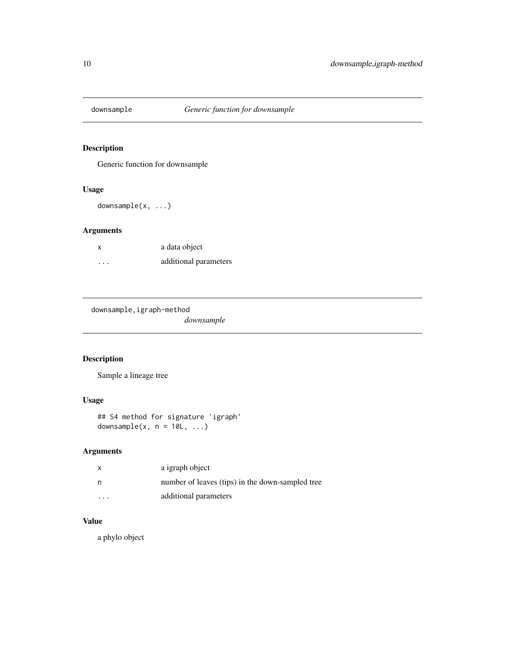<span id="page-9-0"></span>

# Description

Generic function for downsample

#### Usage

downsample(x, ...)

# Arguments

| x       | a data object         |
|---------|-----------------------|
| $\cdot$ | additional parameters |

downsample,igraph-method

*downsample*

# Description

Sample a lineage tree

# Usage

## S4 method for signature 'igraph' downsample(x,  $n = 10L, ...$ )

# Arguments

| $\mathsf{x}$ | a igraph object                                  |
|--------------|--------------------------------------------------|
| n            | number of leaves (tips) in the down-sampled tree |
| $\cdot$      | additional parameters                            |

#### Value

a phylo object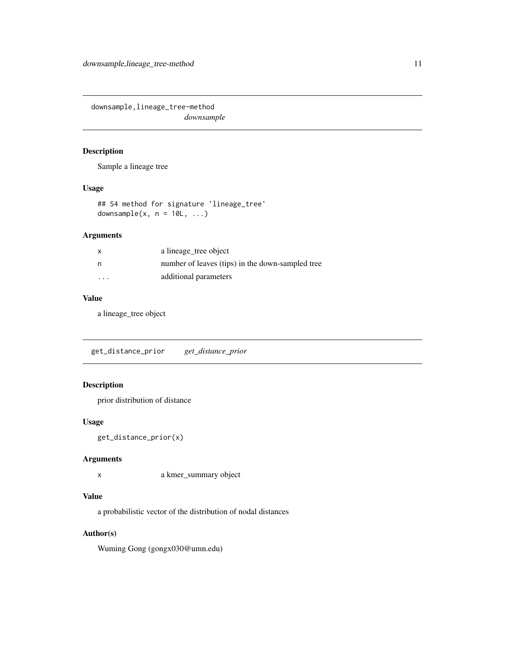<span id="page-10-0"></span>downsample,lineage\_tree-method *downsample*

#### Description

Sample a lineage tree

#### Usage

## S4 method for signature 'lineage\_tree' downsample(x,  $n = 10L, ...$ )

#### Arguments

| $\mathsf{x}$            | a lineage_tree object                            |
|-------------------------|--------------------------------------------------|
| n                       | number of leaves (tips) in the down-sampled tree |
| $\cdot$ $\cdot$ $\cdot$ | additional parameters                            |

#### Value

a lineage\_tree object

get\_distance\_prior *get\_distance\_prior*

# Description

prior distribution of distance

#### Usage

```
get_distance_prior(x)
```
#### Arguments

x a kmer\_summary object

#### Value

a probabilistic vector of the distribution of nodal distances

#### Author(s)

Wuming Gong (gongx030@umn.edu)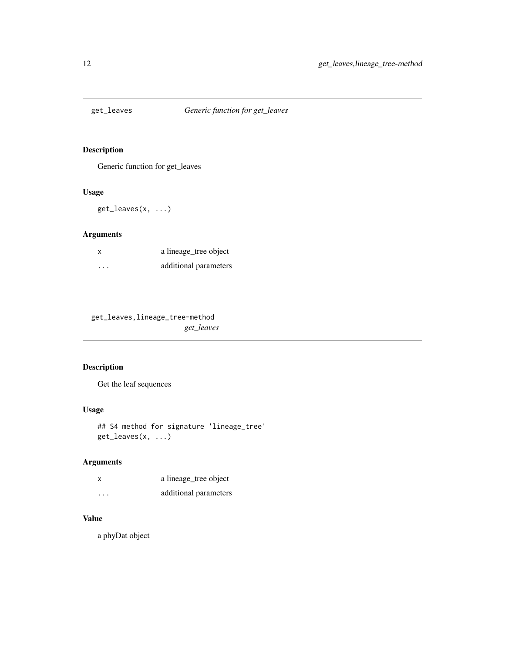<span id="page-11-0"></span>

# Description

Generic function for get\_leaves

#### Usage

get\_leaves(x, ...)

#### Arguments

| X                       | a lineage_tree object |
|-------------------------|-----------------------|
| $\cdot$ $\cdot$ $\cdot$ | additional parameters |

get\_leaves,lineage\_tree-method *get\_leaves*

# Description

Get the leaf sequences

#### Usage

## S4 method for signature 'lineage\_tree' get\_leaves(x, ...)

#### Arguments

| $\times$ | a lineage_tree object |
|----------|-----------------------|
| $\cdots$ | additional parameters |

# Value

a phyDat object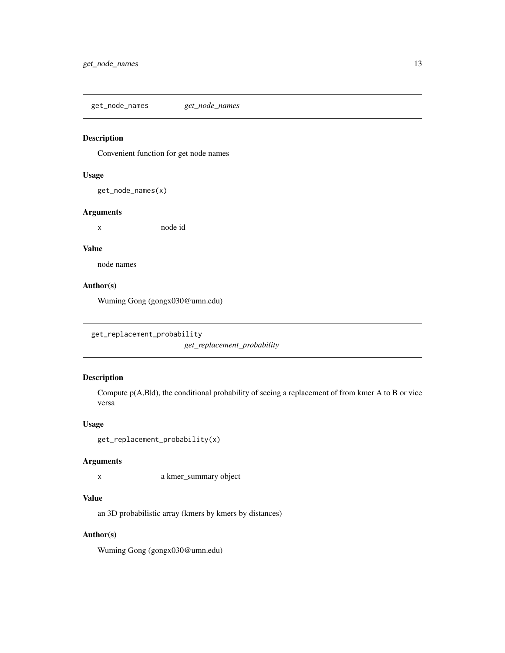<span id="page-12-0"></span>get\_node\_names *get\_node\_names*

#### Description

Convenient function for get node names

#### Usage

get\_node\_names(x)

#### Arguments

x node id

#### Value

node names

# Author(s)

Wuming Gong (gongx030@umn.edu)

```
get_replacement_probability
```
*get\_replacement\_probability*

#### Description

Compute p(A,B|d), the conditional probability of seeing a replacement of from kmer A to B or vice versa

#### Usage

```
get_replacement_probability(x)
```
#### Arguments

x a kmer\_summary object

#### Value

an 3D probabilistic array (kmers by kmers by distances)

#### Author(s)

Wuming Gong (gongx030@umn.edu)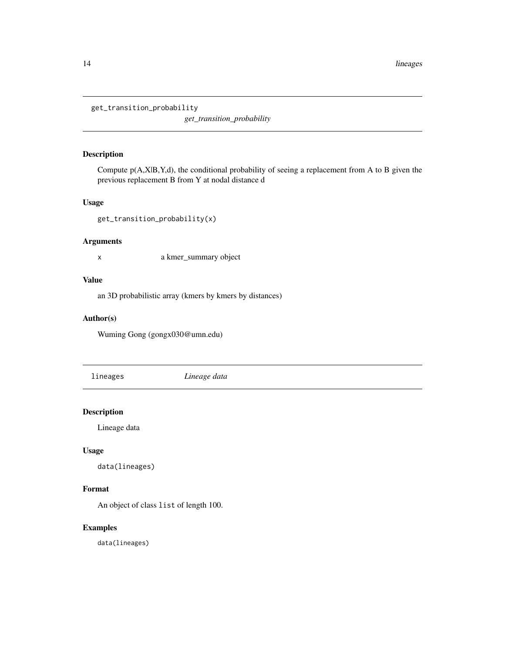<span id="page-13-0"></span>get\_transition\_probability

*get\_transition\_probability*

#### Description

Compute p(A,X|B,Y,d), the conditional probability of seeing a replacement from A to B given the previous replacement B from Y at nodal distance d

#### Usage

get\_transition\_probability(x)

#### Arguments

x a kmer\_summary object

#### Value

an 3D probabilistic array (kmers by kmers by distances)

#### Author(s)

Wuming Gong (gongx030@umn.edu)

lineages *Lineage data*

#### Description

Lineage data

#### Usage

```
data(lineages)
```
### Format

An object of class list of length 100.

#### Examples

data(lineages)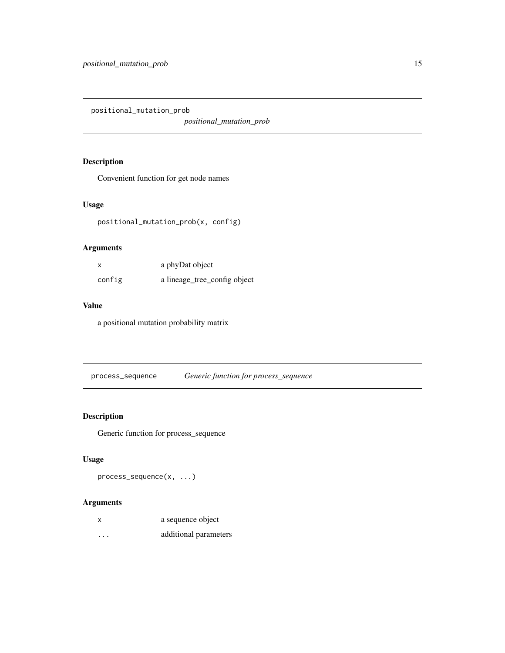<span id="page-14-0"></span>positional\_mutation\_prob

*positional\_mutation\_prob*

# Description

Convenient function for get node names

#### Usage

positional\_mutation\_prob(x, config)

#### Arguments

| x      | a phyDat object              |
|--------|------------------------------|
| config | a lineage_tree_config object |

### Value

a positional mutation probability matrix

process\_sequence *Generic function for process\_sequence*

#### Description

Generic function for process\_sequence

#### Usage

```
process_sequence(x, ...)
```

| x                       | a sequence object     |
|-------------------------|-----------------------|
| $\cdot$ $\cdot$ $\cdot$ | additional parameters |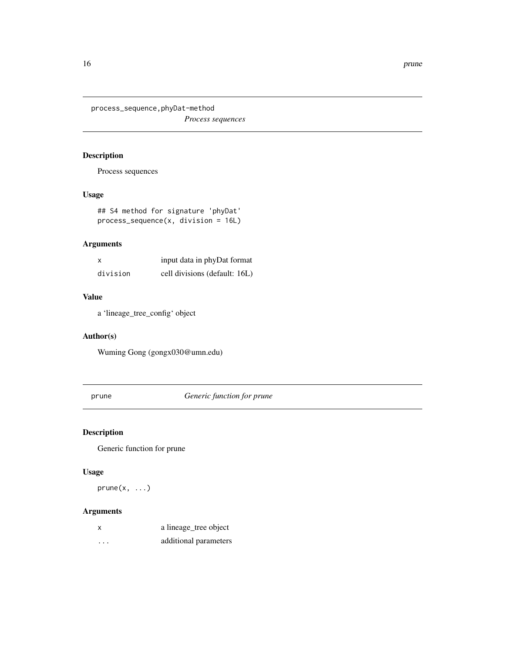<span id="page-15-0"></span>process\_sequence,phyDat-method

*Process sequences*

# Description

Process sequences

# Usage

## S4 method for signature 'phyDat' process\_sequence(x, division = 16L)

#### Arguments

| x        | input data in phyDat format   |
|----------|-------------------------------|
| division | cell divisions (default: 16L) |

# Value

a 'lineage\_tree\_config' object

# Author(s)

Wuming Gong (gongx030@umn.edu)

prune *Generic function for prune*

# Description

Generic function for prune

#### Usage

 $prune(x, \ldots)$ 

| x                       | a lineage_tree object |
|-------------------------|-----------------------|
| $\cdot$ $\cdot$ $\cdot$ | additional parameters |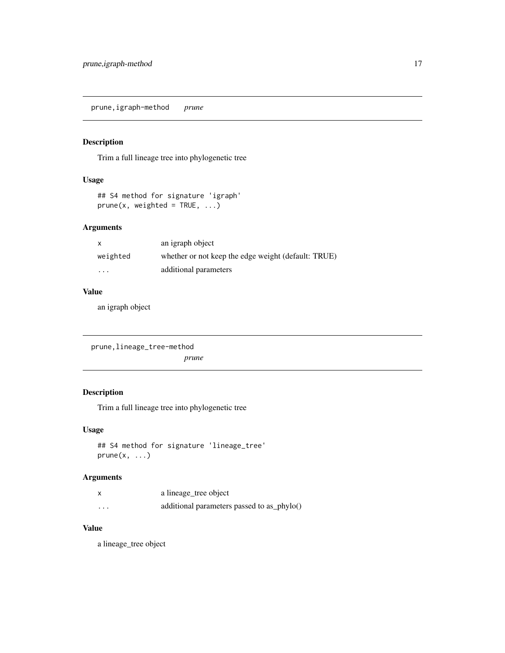<span id="page-16-0"></span>prune,igraph-method *prune*

#### Description

Trim a full lineage tree into phylogenetic tree

#### Usage

```
## S4 method for signature 'igraph'
prune(x, weighted = TRUE, ...)
```
# Arguments

|          | an igraph object                                    |
|----------|-----------------------------------------------------|
| weighted | whether or not keep the edge weight (default: TRUE) |
| $\cdots$ | additional parameters                               |

#### Value

an igraph object

```
prune,lineage_tree-method
                       prune
```
# Description

Trim a full lineage tree into phylogenetic tree

#### Usage

```
## S4 method for signature 'lineage_tree'
prune(x, \ldots)
```
#### Arguments

|          | a lineage_tree object                      |
|----------|--------------------------------------------|
| $\cdots$ | additional parameters passed to as_phylo() |

### Value

a lineage\_tree object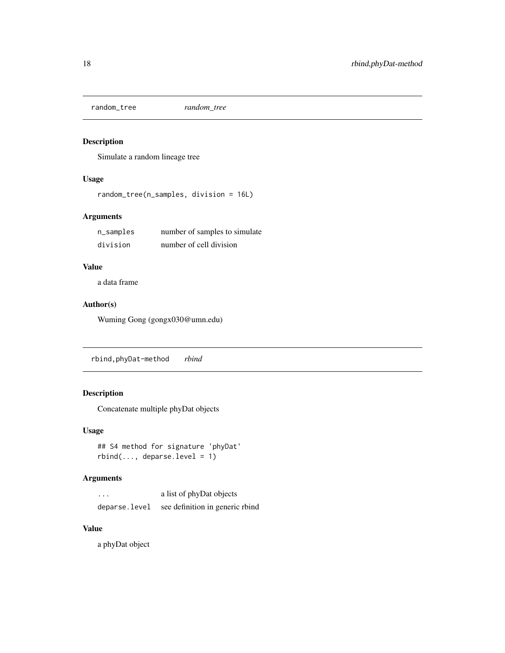<span id="page-17-0"></span>random\_tree *random\_tree*

#### Description

Simulate a random lineage tree

#### Usage

random\_tree(n\_samples, division = 16L)

#### Arguments

| n_samples | number of samples to simulate |
|-----------|-------------------------------|
| division  | number of cell division       |

# Value

a data frame

#### Author(s)

Wuming Gong (gongx030@umn.edu)

rbind,phyDat-method *rbind*

#### Description

Concatenate multiple phyDat objects

#### Usage

```
## S4 method for signature 'phyDat'
rbind(..., deparse.level = 1)
```
#### Arguments

| $\cdot$ $\cdot$ $\cdot$ | a list of phyDat objects        |
|-------------------------|---------------------------------|
| deparse.level           | see definition in generic rbind |

#### Value

a phyDat object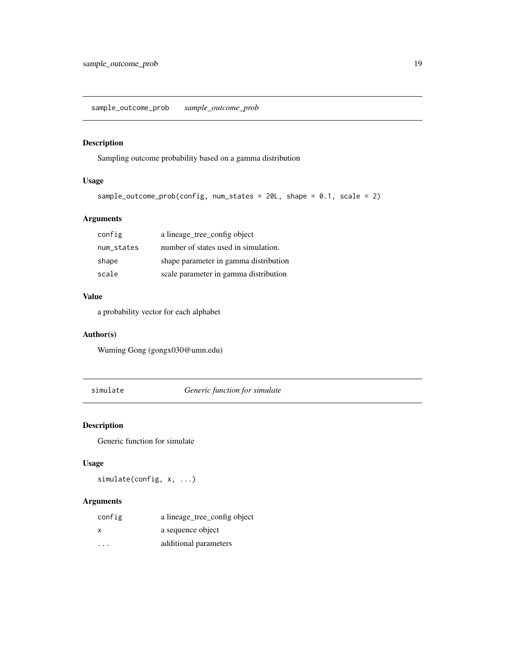<span id="page-18-0"></span>sample\_outcome\_prob *sample\_outcome\_prob*

#### Description

Sampling outcome probability based on a gamma distribution

#### Usage

```
sample_outcome_prob(config, num_states = 20L, shape = 0.1, scale = 2)
```
# Arguments

| config     | a lineage_tree_config object          |
|------------|---------------------------------------|
| num_states | number of states used in simulation.  |
| shape      | shape parameter in gamma distribution |
| scale      | scale parameter in gamma distribution |

#### Value

a probability vector for each alphabet

#### Author(s)

Wuming Gong (gongx030@umn.edu)

simulate *Generic function for simulate*

#### Description

Generic function for simulate

#### Usage

simulate(config, x, ...)

| config  | a lineage tree config object |
|---------|------------------------------|
| x       | a sequence object            |
| $\cdot$ | additional parameters        |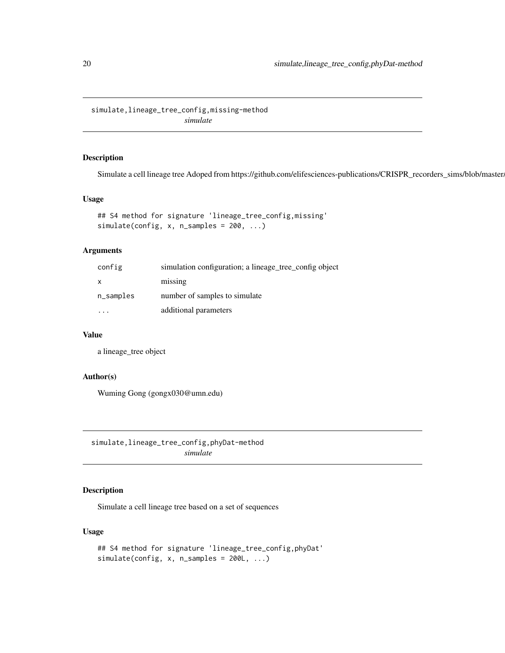<span id="page-19-0"></span>simulate,lineage\_tree\_config,missing-method *simulate*

#### Description

Simulate a cell lineage tree Adoped from https://github.com/elifesciences-publications/CRISPR\_recorders\_sims/blob/master.

#### Usage

```
## S4 method for signature 'lineage_tree_config,missing'
simulate(config, x, n_samples = 200, ...)
```
#### Arguments

| config    | simulation configuration; a lineage_tree_config object |
|-----------|--------------------------------------------------------|
| X         | missing                                                |
| n_samples | number of samples to simulate                          |
|           | additional parameters                                  |

#### Value

a lineage\_tree object

### Author(s)

Wuming Gong (gongx030@umn.edu)

simulate,lineage\_tree\_config,phyDat-method *simulate*

# Description

Simulate a cell lineage tree based on a set of sequences

#### Usage

```
## S4 method for signature 'lineage_tree_config,phyDat'
simulate(config, x, n\_samples = 200L, ...)
```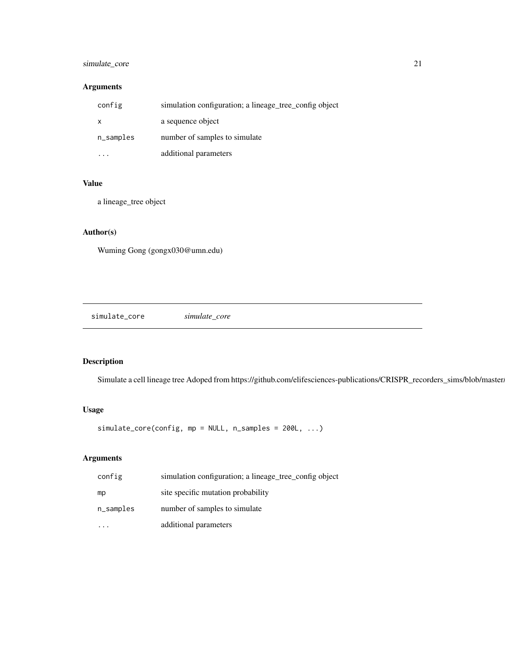#### <span id="page-20-0"></span>simulate\_core 21

# Arguments

| config       | simulation configuration; a lineage_tree_config object |
|--------------|--------------------------------------------------------|
| $\mathsf{x}$ | a sequence object                                      |
| n_samples    | number of samples to simulate                          |
|              | additional parameters                                  |

# Value

a lineage\_tree object

# Author(s)

Wuming Gong (gongx030@umn.edu)

simulate\_core *simulate\_core*

#### Description

Simulate a cell lineage tree Adoped from https://github.com/elifesciences-publications/CRISPR\_recorders\_sims/blob/master.

#### Usage

simulate\_core(config, mp = NULL, n\_samples = 200L, ...)

| config    | simulation configuration; a lineage_tree_config object |
|-----------|--------------------------------------------------------|
| mp        | site specific mutation probability                     |
| n_samples | number of samples to simulate                          |
|           | additional parameters                                  |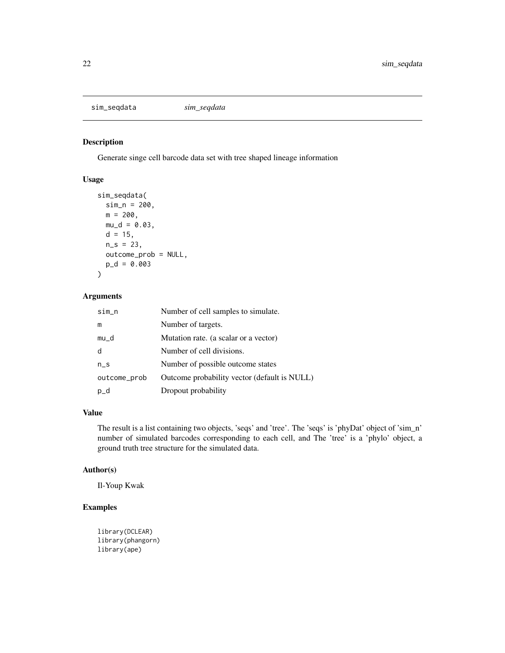<span id="page-21-0"></span>sim\_seqdata *sim\_seqdata*

#### Description

Generate singe cell barcode data set with tree shaped lineage information

# Usage

```
sim_seqdata(
  sim_n = 200,
  m = 200,
  mu_d = 0.03,
  d = 15,
  n_S = 23,
  outcome_prob = NULL,
  p_d = 0.003\mathcal{L}
```
#### Arguments

| $sim\_n$     | Number of cell samples to simulate.          |
|--------------|----------------------------------------------|
| m            | Number of targets.                           |
| mu_d         | Mutation rate. (a scalar or a vector)        |
| d            | Number of cell divisions.                    |
| $n_S$        | Number of possible outcome states            |
| outcome_prob | Outcome probability vector (default is NULL) |
| $p_d$        | Dropout probability                          |

# Value

The result is a list containing two objects, 'seqs' and 'tree'. The 'seqs' is 'phyDat' object of 'sim\_n' number of simulated barcodes corresponding to each cell, and The 'tree' is a 'phylo' object, a ground truth tree structure for the simulated data.

#### Author(s)

Il-Youp Kwak

#### Examples

```
library(DCLEAR)
library(phangorn)
library(ape)
```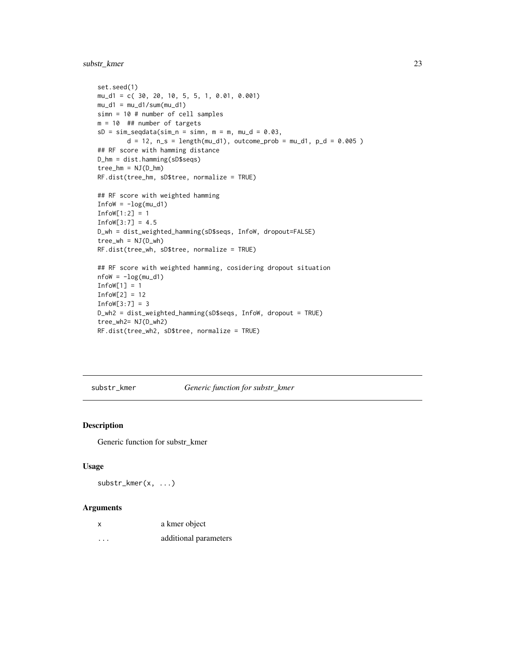<span id="page-22-0"></span>substr\_kmer 23

```
set.seed(1)
mu_d1 = c( 30, 20, 10, 5, 5, 1, 0.01, 0.001)
mu_d1 = mu_d1/sum(mu_d1)simn = 10 # number of cell samples
m = 10 ## number of targets
sD = sim\_seqdata(sim_n = simn, m = m, mu_d = 0.03,d = 12, n_s = length(mu_d1), outcome_prob = mu_d1, p_d = 0.005)
## RF score with hamming distance
D_hm = dist.hamming(sD$seqs)
tree_hm = NJ(D_hm)RF.dist(tree_hm, sD$tree, normalize = TRUE)
## RF score with weighted hamming
InfoW = -log(mu_d1)Infow[1:2] = 1Infow[3:7] = 4.5D_wh = dist_weighted_hamming(sD$seqs, InfoW, dropout=FALSE)
tree_wh = NJ(D_wh)RF.dist(tree_wh, sD$tree, normalize = TRUE)
## RF score with weighted hamming, cosidering dropout situation
nrow = -log(mu_d1)Infow[1] = 1InfoW[2] = 12
Infow[3:7] = 3D_wh2 = dist_weighted_hamming(sD$seqs, InfoW, dropout = TRUE)
tree_wh2= NJ(D_wh2)
RF.dist(tree_wh2, sD$tree, normalize = TRUE)
```
substr\_kmer *Generic function for substr\_kmer*

#### Description

Generic function for substr\_kmer

#### Usage

substr\_kmer(x, ...)

| x | a kmer object         |
|---|-----------------------|
| . | additional parameters |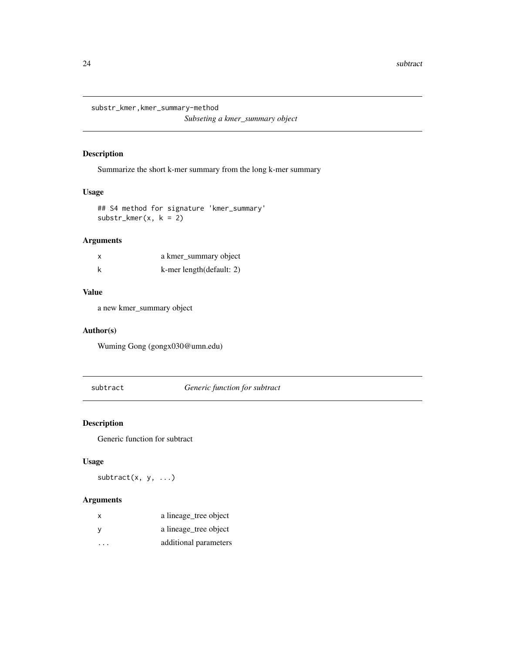<span id="page-23-0"></span>substr\_kmer,kmer\_summary-method *Subseting a kmer\_summary object*

# Description

Summarize the short k-mer summary from the long k-mer summary

#### Usage

```
## S4 method for signature 'kmer_summary'
substr_kmer(x, k = 2)
```
# Arguments

| a kmer_summary object    |
|--------------------------|
| k-mer length(default: 2) |

#### Value

a new kmer\_summary object

#### Author(s)

Wuming Gong (gongx030@umn.edu)

subtract *Generic function for subtract*

#### Description

Generic function for subtract

#### Usage

 $subtract(x, y, ...)$ 

| X | a lineage_tree object |
|---|-----------------------|
| y | a lineage_tree object |
|   | additional parameters |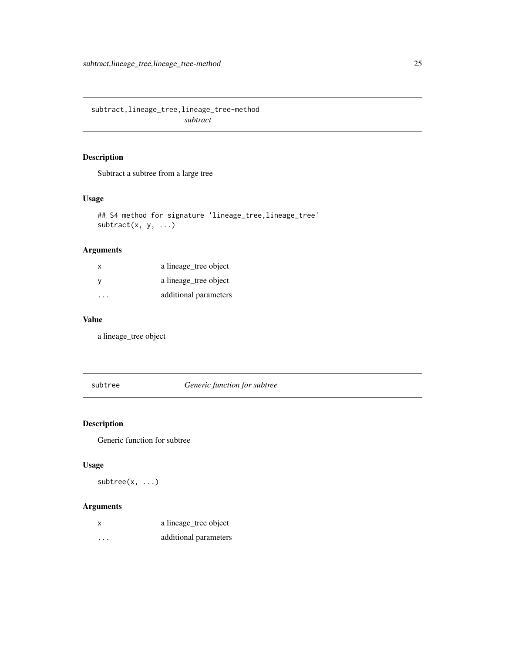<span id="page-24-0"></span>subtract,lineage\_tree,lineage\_tree-method *subtract*

#### Description

Subtract a subtree from a large tree

#### Usage

```
## S4 method for signature 'lineage_tree,lineage_tree'
subtract(x, y, ...)
```
# Arguments

| $\mathsf{x}$ | a lineage_tree object |
|--------------|-----------------------|
| - V          | a lineage tree object |
| .            | additional parameters |

# Value

a lineage\_tree object

subtree *Generic function for subtree*

# Description

Generic function for subtree

#### Usage

subtree(x, ...)

| X        | a lineage_tree object |
|----------|-----------------------|
| $\cdots$ | additional parameters |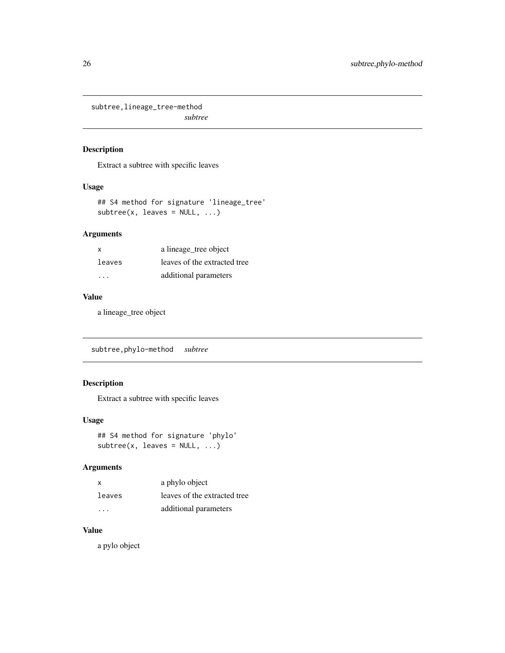<span id="page-25-0"></span>subtree,lineage\_tree-method *subtree*

# Description

Extract a subtree with specific leaves

#### Usage

```
## S4 method for signature 'lineage_tree'
subtree(x, leaves = NULL, ...)
```
#### Arguments

| x      | a lineage_tree object        |
|--------|------------------------------|
| leaves | leaves of the extracted tree |
| .      | additional parameters        |

#### Value

a lineage\_tree object

subtree,phylo-method *subtree*

# Description

Extract a subtree with specific leaves

#### Usage

```
## S4 method for signature 'phylo'
subtree(x, leaves = NULL, ...)
```
#### Arguments

| x      | a phylo object               |
|--------|------------------------------|
| leaves | leaves of the extracted tree |
| .      | additional parameters        |

# Value

a pylo object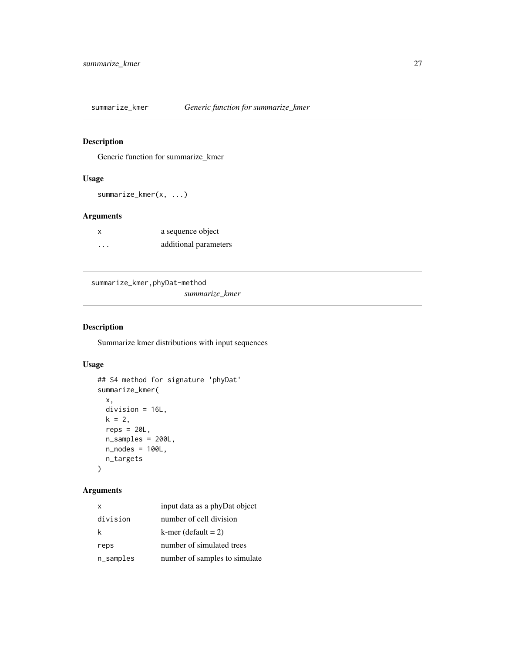<span id="page-26-0"></span>

#### Description

Generic function for summarize\_kmer

#### Usage

summarize\_kmer(x, ...)

#### Arguments

| $\boldsymbol{\mathsf{x}}$ | a sequence object     |
|---------------------------|-----------------------|
| .                         | additional parameters |

```
summarize_kmer,phyDat-method
```
*summarize\_kmer*

# Description

Summarize kmer distributions with input sequences

# Usage

```
## S4 method for signature 'phyDat'
summarize_kmer(
 x,
 division = 16L,
 k = 2,reps = 20L,
 n_samples = 200L,
 n_nodes = 100L,
 n_targets
)
```

| $\times$  | input data as a phyDat object |
|-----------|-------------------------------|
| division  | number of cell division       |
| k         | k-mer (default $= 2$ )        |
| reps      | number of simulated trees     |
| n_samples | number of samples to simulate |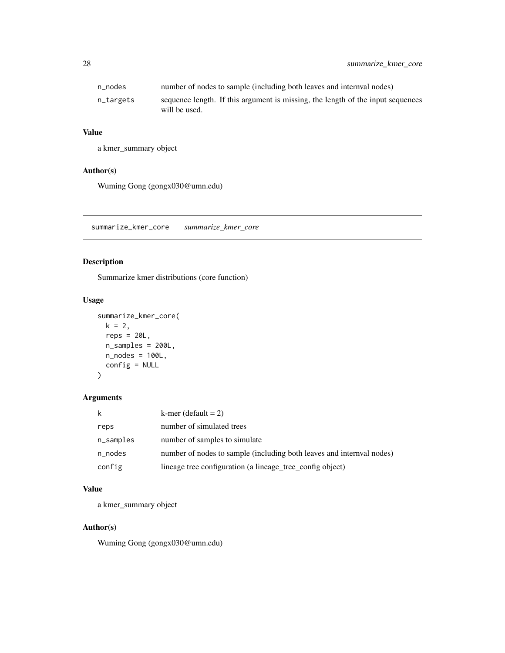<span id="page-27-0"></span>

| n nodes   | number of nodes to sample (including both leaves and internyal nodes)                            |
|-----------|--------------------------------------------------------------------------------------------------|
| n_targets | sequence length. If this argument is missing, the length of the input sequences<br>will be used. |

# Value

a kmer\_summary object

#### Author(s)

Wuming Gong (gongx030@umn.edu)

summarize\_kmer\_core *summarize\_kmer\_core*

#### Description

Summarize kmer distributions (core function)

#### Usage

```
summarize_kmer_core(
 k = 2,reps = 20L,
 n_samples = 200L,
 n_nodes = 100L,
 config = NULL
)
```
#### Arguments

| k         | k-mer (default $= 2$ )                                                |
|-----------|-----------------------------------------------------------------------|
| reps      | number of simulated trees                                             |
| n_samples | number of samples to simulate                                         |
| n_nodes   | number of nodes to sample (including both leaves and internval nodes) |
| config    | lineage tree configuration (a lineage_tree_config object)             |

### Value

a kmer\_summary object

#### Author(s)

Wuming Gong (gongx030@umn.edu)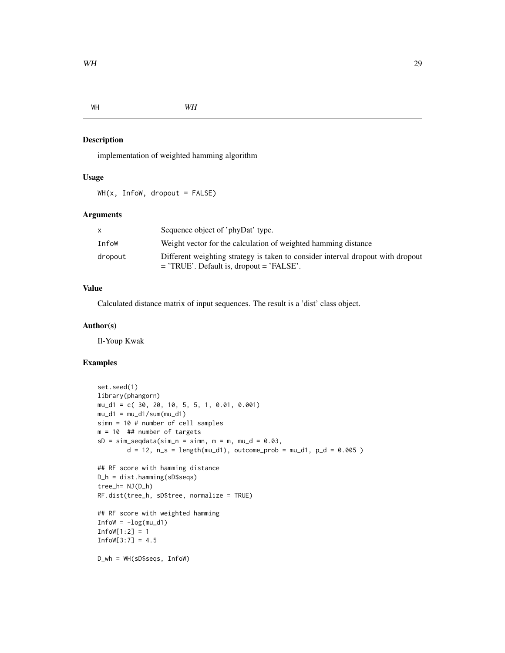<span id="page-28-0"></span>WH *WH*

#### Description

implementation of weighted hamming algorithm

# Usage

 $WH(x, Infow, dropout = FALSE)$ 

#### Arguments

| X       | Sequence object of 'phyDat' type.                                               |
|---------|---------------------------------------------------------------------------------|
| InfoW   | Weight vector for the calculation of weighted hamming distance                  |
| dropout | Different weighting strategy is taken to consider interval dropout with dropout |
|         | $=$ 'TRUE'. Default is, dropout $=$ 'FALSE'.                                    |

# Value

Calculated distance matrix of input sequences. The result is a 'dist' class object.

#### Author(s)

Il-Youp Kwak

#### Examples

```
set.seed(1)
library(phangorn)
mu_d1 = c( 30, 20, 10, 5, 5, 1, 0.01, 0.001)
mu_d1 = mu_d1/sum(mu_d1)simn = 10 # number of cell samples
m = 10 ## number of targets
sD = sim\_seqdata(sim_n = sim, m = m, mu_d = 0.03,d = 12, n_s = length(mu_d1), outcome_prob = mu_d1, p_d = 0.005)
## RF score with hamming distance
D_h = dist.hamming(sD$seqs)
tree_h= NJ(D_h)
RF.dist(tree_h, sD$tree, normalize = TRUE)
## RF score with weighted hamming
InfoW = -log(mu_d1)InfoW[1:2] = 1Infow[3:7] = 4.5D_wh = WH(sD$seqs, InfoW)
```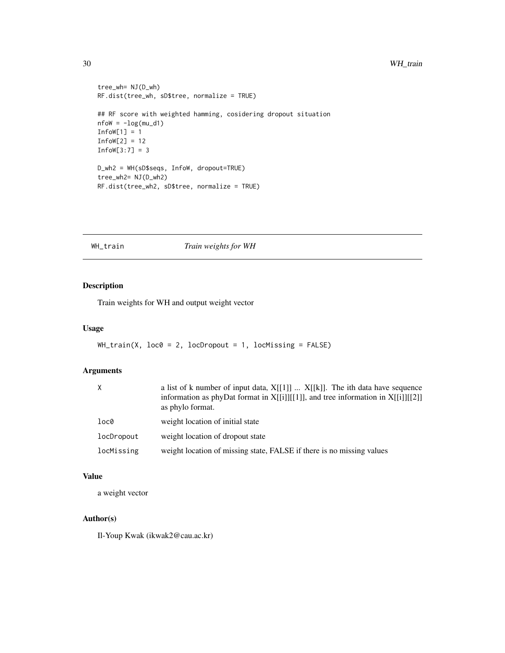#### <span id="page-29-0"></span>30 WH\_train

```
tree_wh= NJ(D_wh)
RF.dist(tree_wh, sD$tree, normalize = TRUE)
## RF score with weighted hamming, cosidering dropout situation
nflow = -log(mu_d1)Infow[1] = 1InfoW[2] = 12
Infow[3:7] = 3D_wh2 = WH(sD$seqs, InfoW, dropout=TRUE)
tree_wh2= NJ(D_wh2)
RF.dist(tree_wh2, sD$tree, normalize = TRUE)
```
#### WH\_train *Train weights for WH*

# Description

Train weights for WH and output weight vector

#### Usage

```
WH_L train(X, loc0 = 2, locDropout = 1, locMissing = FALSE)
```
#### Arguments

|            | a list of k number of input data, $X[[1]]$ $X[[k]]$ . The ith data have sequence<br>information as phyDat format in $X[[i]][[1]]$ , and tree information in $X[[i]][[2]]$<br>as phylo format. |
|------------|-----------------------------------------------------------------------------------------------------------------------------------------------------------------------------------------------|
| loc0       | weight location of initial state                                                                                                                                                              |
| locDropout | weight location of dropout state                                                                                                                                                              |
| locMissing | weight location of missing state, FALSE if there is no missing values                                                                                                                         |

#### Value

a weight vector

#### Author(s)

Il-Youp Kwak (ikwak2@cau.ac.kr)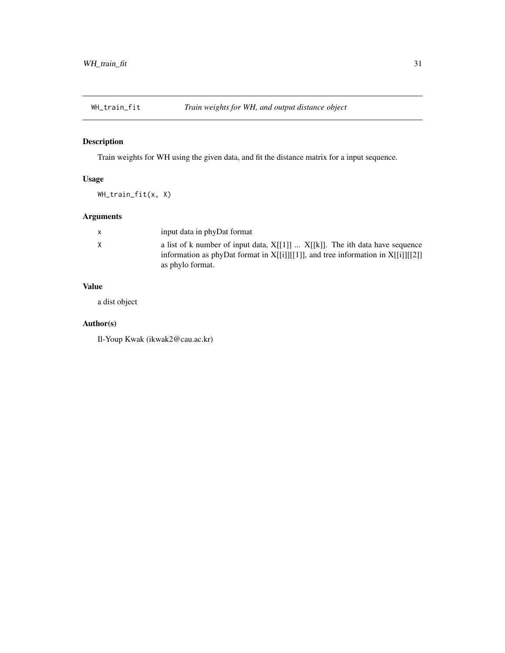<span id="page-30-0"></span>

# Description

Train weights for WH using the given data, and fit the distance matrix for a input sequence.

# Usage

WH\_train\_fit(x, X)

# Arguments

|    | input data in phyDat format                                                                                                                                                                   |
|----|-----------------------------------------------------------------------------------------------------------------------------------------------------------------------------------------------|
| X. | a list of k number of input data, $X[[1]]$ $X[[k]]$ . The ith data have sequence<br>information as phyDat format in $X[[i]][[1]]$ , and tree information in $X[[i]][[2]]$<br>as phylo format. |

# Value

a dist object

# Author(s)

Il-Youp Kwak (ikwak2@cau.ac.kr)